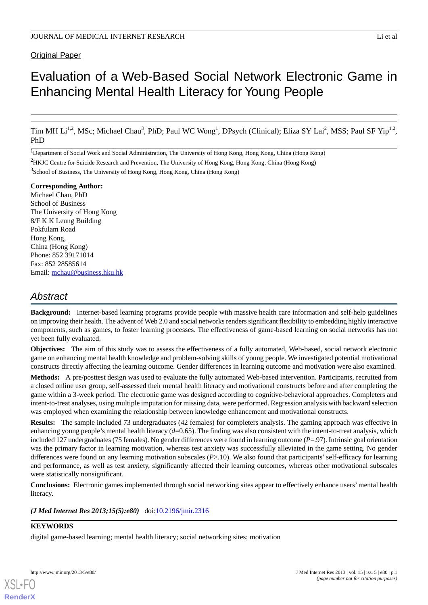# Original Paper

# Evaluation of a Web-Based Social Network Electronic Game in Enhancing Mental Health Literacy for Young People

Tim MH Li<sup>1,2</sup>, MSc; Michael Chau<sup>3</sup>, PhD; Paul WC Wong<sup>1</sup>, DPsych (Clinical); Eliza SY Lai<sup>2</sup>, MSS; Paul SF Yip<sup>1,2</sup>, PhD

1Department of Social Work and Social Administration, The University of Hong Kong, Hong Kong, China (Hong Kong)

<sup>2</sup>HKJC Centre for Suicide Research and Prevention, The University of Hong Kong, Hong Kong, China (Hong Kong)

<sup>3</sup>School of Business, The University of Hong Kong, Hong Kong, China (Hong Kong)

#### **Corresponding Author:**

Michael Chau, PhD School of Business The University of Hong Kong 8/F K K Leung Building Pokfulam Road Hong Kong, China (Hong Kong) Phone: 852 39171014 Fax: 852 28585614 Email: [mchau@business.hku.hk](mailto:mchau@business.hku.hk)

# *Abstract*

**Background:** Internet-based learning programs provide people with massive health care information and self-help guidelines on improving their health. The advent of Web 2.0 and social networks renders significant flexibility to embedding highly interactive components, such as games, to foster learning processes. The effectiveness of game-based learning on social networks has not yet been fully evaluated.

**Objectives:** The aim of this study was to assess the effectiveness of a fully automated, Web-based, social network electronic game on enhancing mental health knowledge and problem-solving skills of young people. We investigated potential motivational constructs directly affecting the learning outcome. Gender differences in learning outcome and motivation were also examined.

**Methods:** A pre/posttest design was used to evaluate the fully automated Web-based intervention. Participants, recruited from a closed online user group, self-assessed their mental health literacy and motivational constructs before and after completing the game within a 3-week period. The electronic game was designed according to cognitive-behavioral approaches. Completers and intent-to-treat analyses, using multiple imputation for missing data, were performed. Regression analysis with backward selection was employed when examining the relationship between knowledge enhancement and motivational constructs.

**Results:** The sample included 73 undergraduates (42 females) for completers analysis. The gaming approach was effective in enhancing young people's mental health literacy (d=0.65). The finding was also consistent with the intent-to-treat analysis, which included 127 undergraduates (75 females). No gender differences were found in learning outcome (*P*=.97). Intrinsic goal orientation was the primary factor in learning motivation, whereas test anxiety was successfully alleviated in the game setting. No gender differences were found on any learning motivation subscales (*P*>.10). We also found that participants' self-efficacy for learning and performance, as well as test anxiety, significantly affected their learning outcomes, whereas other motivational subscales were statistically nonsignificant.

**Conclusions:** Electronic games implemented through social networking sites appear to effectively enhance users' mental health literacy.

#### *(J Med Internet Res 2013;15(5):e80)* doi: $10.2196/$ jmir.2316

#### **KEYWORDS**

digital game-based learning; mental health literacy; social networking sites; motivation

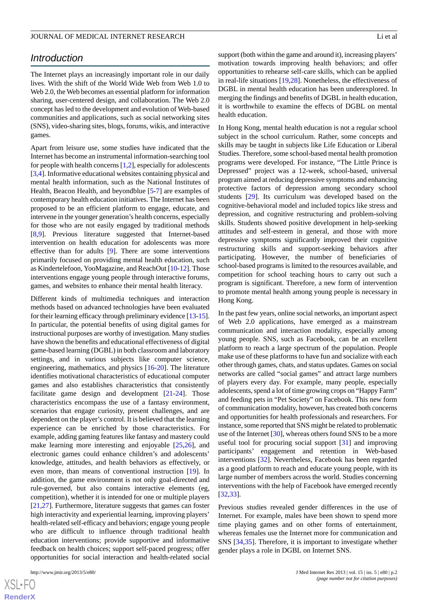# *Introduction*

The Internet plays an increasingly important role in our daily lives. With the shift of the World Wide Web from Web 1.0 to Web 2.0, the Web becomes an essential platform for information sharing, user-centered design, and collaboration. The Web 2.0 concept has led to the development and evolution of Web-based communities and applications, such as social networking sites (SNS), video-sharing sites, blogs, forums, wikis, and interactive games.

Apart from leisure use, some studies have indicated that the Internet has become an instrumental information-searching tool for people with health concerns  $[1,2]$  $[1,2]$  $[1,2]$  $[1,2]$ , especially for adolescents [[3](#page-9-2)[,4](#page-9-3)]. Informative educational websites containing physical and mental health information, such as the National Institutes of Health, Beacon Health, and beyondblue [[5-](#page-9-4)[7](#page-10-0)] are examples of contemporary health education initiatives. The Internet has been proposed to be an efficient platform to engage, educate, and intervene in the younger generation's health concerns, especially for those who are not easily engaged by traditional methods [[8](#page-10-1)[,9](#page-10-2)]. Previous literature suggested that Internet-based intervention on health education for adolescents was more effective than for adults [\[9\]](#page-10-2). There are some interventions primarily focused on providing mental health education, such as Kindertelefoon, YooMagazine, and ReachOut [[10-](#page-10-3)[12\]](#page-10-4). Those interventions engage young people through interactive forums, games, and websites to enhance their mental health literacy.

Different kinds of multimedia techniques and interaction methods based on advanced technologies have been evaluated for their learning efficacy through preliminary evidence [\[13-](#page-10-5)[15\]](#page-10-6). In particular, the potential benefits of using digital games for instructional purposes are worthy of investigation. Many studies have shown the benefits and educational effectiveness of digital game-based learning (DGBL) in both classroom and laboratory settings, and in various subjects like computer science, engineering, mathematics, and physics [[16](#page-10-7)[-20](#page-10-8)]. The literature identifies motivational characteristics of educational computer games and also establishes characteristics that consistently facilitate game design and development [[21-](#page-10-9)[24](#page-10-10)]. Those characteristics encompass the use of a fantasy environment, scenarios that engage curiosity, present challenges, and are dependent on the player's control. It is believed that the learning experience can be enriched by those characteristics. For example, adding gaming features like fantasy and mastery could make learning more interesting and enjoyable [\[25](#page-10-11),[26\]](#page-10-12), and electronic games could enhance children's and adolescents' knowledge, attitudes, and health behaviors as effectively, or even more, than means of conventional instruction [\[19](#page-10-13)]. In addition, the game environment is not only goal-directed and rule-governed, but also contains interactive elements (eg, competition), whether it is intended for one or multiple players [[21](#page-10-9)[,27](#page-10-14)]. Furthermore, literature suggests that games can foster high interactivity and experiential learning, improving players' health-related self-efficacy and behaviors; engage young people who are difficult to influence through traditional health education interventions; provide supportive and informative feedback on health choices; support self-paced progress; offer opportunities for social interaction and health-related social

support (both within the game and around it), increasing players' motivation towards improving health behaviors; and offer opportunities to rehearse self-care skills, which can be applied in real-life situations [[19,](#page-10-13)[28](#page-10-15)]. Nonetheless, the effectiveness of DGBL in mental health education has been underexplored. In merging the findings and benefits of DGBL in health education, it is worthwhile to examine the effects of DGBL on mental health education.

In Hong Kong, mental health education is not a regular school subject in the school curriculum. Rather, some concepts and skills may be taught in subjects like Life Education or Liberal Studies. Therefore, some school-based mental health promotion programs were developed. For instance, "The Little Prince is Depressed" project was a 12-week, school-based, universal program aimed at reducing depressive symptoms and enhancing protective factors of depression among secondary school students [\[29](#page-10-16)]. Its curriculum was developed based on the cognitive-behavioral model and included topics like stress and depression, and cognitive restructuring and problem-solving skills. Students showed positive development in help-seeking attitudes and self-esteem in general, and those with more depressive symptoms significantly improved their cognitive restructuring skills and support-seeking behaviors after participating. However, the number of beneficiaries of school-based programs is limited to the resources available, and competition for school teaching hours to carry out such a program is significant. Therefore, a new form of intervention to promote mental health among young people is necessary in Hong Kong.

In the past few years, online social networks, an important aspect of Web 2.0 applications, have emerged as a mainstream communication and interaction modality, especially among young people. SNS, such as Facebook, can be an excellent platform to reach a large spectrum of the population. People make use of these platforms to have fun and socialize with each other through games, chats, and status updates. Games on social networks are called "social games" and attract large numbers of players every day. For example, many people, especially adolescents, spend a lot of time growing crops on "Happy Farm" and feeding pets in "Pet Society" on Facebook. This new form of communication modality, however, has created both concerns and opportunities for health professionals and researchers. For instance, some reported that SNS might be related to problematic use of the Internet [[30\]](#page-10-17), whereas others found SNS to be a more useful tool for procuring social support [\[31](#page-10-18)] and improving participants' engagement and retention in Web-based interventions [\[32](#page-10-19)]. Nevertheless, Facebook has been regarded as a good platform to reach and educate young people, with its large number of members across the world. Studies concerning interventions with the help of Facebook have emerged recently [[32,](#page-10-19)[33\]](#page-11-0).

Previous studies revealed gender differences in the use of Internet. For example, males have been shown to spend more time playing games and on other forms of entertainment, whereas females use the Internet more for communication and SNS [\[34](#page-11-1),[35\]](#page-11-2). Therefore, it is important to investigate whether gender plays a role in DGBL on Internet SNS.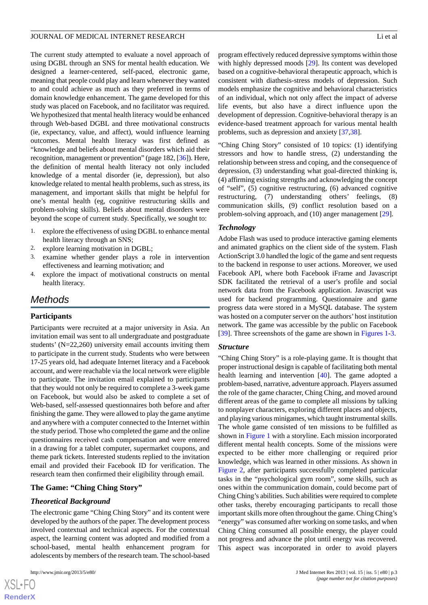The current study attempted to evaluate a novel approach of using DGBL through an SNS for mental health education. We designed a learner-centered, self-paced, electronic game, meaning that people could play and learn whenever they wanted to and could achieve as much as they preferred in terms of domain knowledge enhancement. The game developed for this study was placed on Facebook, and no facilitator was required. We hypothesized that mental health literacy would be enhanced through Web-based DGBL and three motivational constructs (ie, expectancy, value, and affect), would influence learning outcomes. Mental health literacy was first defined as "knowledge and beliefs about mental disorders which aid their recognition, management or prevention" (page 182, [\[36](#page-11-3)]). Here, the definition of mental health literacy not only included knowledge of a mental disorder (ie, depression), but also knowledge related to mental health problems, such as stress, its management, and important skills that might be helpful for one's mental health (eg, cognitive restructuring skills and problem-solving skills). Beliefs about mental disorders were beyond the scope of current study. Specifically, we sought to:

- 1. explore the effectiveness of using DGBL to enhance mental health literacy through an SNS;
- 2. explore learning motivation in DGBL;
- 3. examine whether gender plays a role in intervention effectiveness and learning motivation; and
- 4. explore the impact of motivational constructs on mental health literacy.

# *Methods*

#### **Participants**

Participants were recruited at a major university in Asia. An invitation email was sent to all undergraduate and postgraduate students' (N=22,260) university email accounts inviting them to participate in the current study. Students who were between 17-25 years old, had adequate Internet literacy and a Facebook account, and were reachable via the local network were eligible to participate. The invitation email explained to participants that they would not only be required to complete a 3-week game on Facebook, but would also be asked to complete a set of Web-based, self-assessed questionnaires both before and after finishing the game. They were allowed to play the game anytime and anywhere with a computer connected to the Internet within the study period. Those who completed the game and the online questionnaires received cash compensation and were entered in a drawing for a tablet computer, supermarket coupons, and theme park tickets. Interested students replied to the invitation email and provided their Facebook ID for verification. The research team then confirmed their eligibility through email.

#### **The Game: "Ching Ching Story"**

#### *Theoretical Background*

The electronic game "Ching Ching Story" and its content were developed by the authors of the paper. The development process involved contextual and technical aspects. For the contextual aspect, the learning content was adopted and modified from a school-based, mental health enhancement program for adolescents by members of the research team. The school-based

program effectively reduced depressive symptoms within those with highly depressed moods [[29\]](#page-10-16). Its content was developed based on a cognitive-behavioral therapeutic approach, which is consistent with diathesis-stress models of depression. Such models emphasize the cognitive and behavioral characteristics of an individual, which not only affect the impact of adverse life events, but also have a direct influence upon the development of depression. Cognitive-behavioral therapy is an evidence-based treatment approach for various mental health problems, such as depression and anxiety [[37,](#page-11-4)[38\]](#page-11-5).

"Ching Ching Story" consisted of 10 topics: (1) identifying stressors and how to handle stress, (2) understanding the relationship between stress and coping, and the consequence of depression, (3) understanding what goal-directed thinking is, (4) affirming existing strengths and acknowledging the concept of "self", (5) cognitive restructuring, (6) advanced cognitive restructuring, (7) understanding others' feelings, (8) communication skills, (9) conflict resolution based on a problem-solving approach, and (10) anger management [[29\]](#page-10-16).

#### *Technology*

Adobe Flash was used to produce interactive gaming elements and animated graphics on the client side of the system. Flash ActionScript 3.0 handled the logic of the game and sent requests to the backend in response to user actions. Moreover, we used Facebook API, where both Facebook iFrame and Javascript SDK facilitated the retrieval of a user's profile and social network data from the Facebook application. Javascript was used for backend programming. Questionnaire and game progress data were stored in a MySQL database. The system was hosted on a computer server on the authors' host institution network. The game was accessible by the public on Facebook [[39\]](#page-11-6). Three screenshots of the game are shown in Figures 1-3.

#### *Structure*

"Ching Ching Story" is a role-playing game. It is thought that proper instructional design is capable of facilitating both mental health learning and intervention [\[40](#page-11-7)]. The game adopted a problem-based, narrative, adventure approach. Players assumed the role of the game character, Ching Ching, and moved around different areas of the game to complete all missions by talking to nonplayer characters, exploring different places and objects, and playing various minigames, which taught instrumental skills. The whole game consisted of ten missions to be fulfilled as shown in Figure 1 with a storyline. Each mission incorporated different mental health concepts. Some of the missions were expected to be either more challenging or required prior knowledge, which was learned in other missions. As shown in Figure 2, after participants successfully completed particular tasks in the "psychological gym room", some skills, such as ones within the communication domain, could become part of Ching Ching's abilities. Such abilities were required to complete other tasks, thereby encouraging participants to recall those important skills more often throughout the game. Ching Ching's "energy" was consumed after working on some tasks, and when Ching Ching consumed all possible energy, the player could not progress and advance the plot until energy was recovered. This aspect was incorporated in order to avoid players

 $XS$ -FO **[RenderX](http://www.renderx.com/)**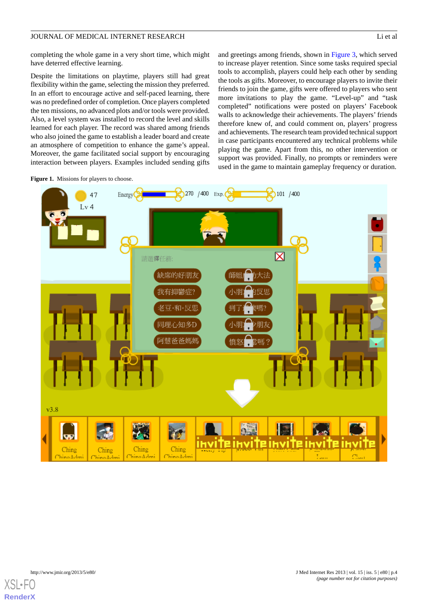completing the whole game in a very short time, which might have deterred effective learning.

Despite the limitations on playtime, players still had great flexibility within the game, selecting the mission they preferred. In an effort to encourage active and self-paced learning, there was no predefined order of completion. Once players completed the ten missions, no advanced plots and/or tools were provided. Also, a level system was installed to record the level and skills learned for each player. The record was shared among friends who also joined the game to establish a leader board and create an atmosphere of competition to enhance the game's appeal. Moreover, the game facilitated social support by encouraging interaction between players. Examples included sending gifts and greetings among friends, shown in Figure 3, which served to increase player retention. Since some tasks required special tools to accomplish, players could help each other by sending the tools as gifts. Moreover, to encourage players to invite their friends to join the game, gifts were offered to players who sent more invitations to play the game. "Level-up" and "task completed" notifications were posted on players' Facebook walls to acknowledge their achievements. The players' friends therefore knew of, and could comment on, players' progress and achievements. The research team provided technical support in case participants encountered any technical problems while playing the game. Apart from this, no other intervention or support was provided. Finally, no prompts or reminders were used in the game to maintain gameplay frequency or duration.





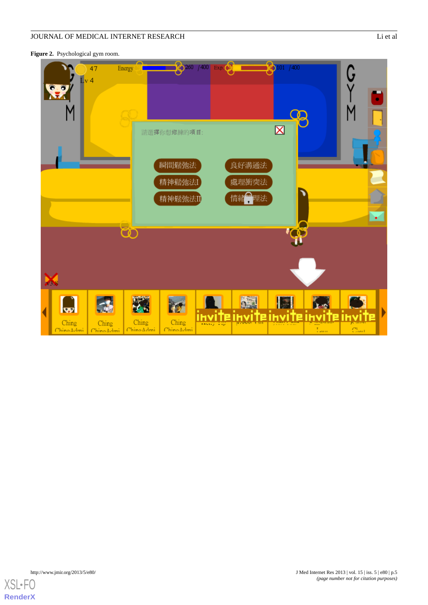Figure 2. Psychological gym room.



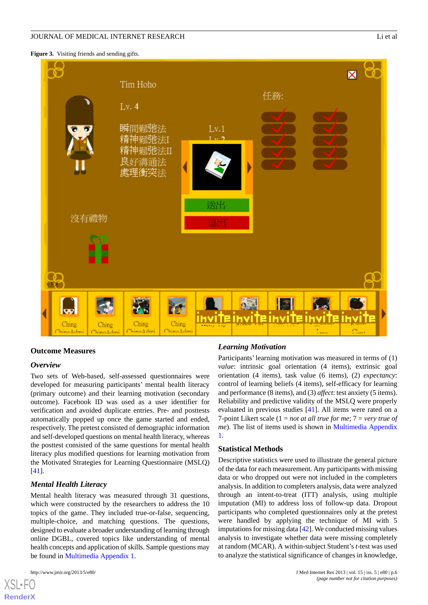**Figure 3.** Visiting friends and sending gifts.



#### **Outcome Measures**

#### *Overview*

Two sets of Web-based, self-assessed questionnaires were developed for measuring participants' mental health literacy (primary outcome) and their learning motivation (secondary outcome). Facebook ID was used as a user identifier for verification and avoided duplicate entries. Pre- and posttests automatically popped up once the game started and ended, respectively. The pretest consisted of demographic information and self-developed questions on mental health literacy, whereas the posttest consisted of the same questions for mental health literacy plus modified questions for learning motivation from the Motivated Strategies for Learning Questionnaire (MSLQ) [[41\]](#page-11-8).

#### *Mental Health Literacy*

Mental health literacy was measured through 31 questions, which were constructed by the researchers to address the 10 topics of the game. They included true-or-false, sequencing, multiple-choice, and matching questions. The questions, designed to evaluate a broader understanding of learning through online DGBL, covered topics like understanding of mental health concepts and application of skills. Sample questions may be found in Multimedia Appendix 1.

[XSL](http://www.w3.org/Style/XSL)•FO **[RenderX](http://www.renderx.com/)**

#### *Learning Motivation*

Participants' learning motivation was measured in terms of (1) *value*: intrinsic goal orientation (4 items), extrinsic goal orientation (4 items), task value (6 items), (2) *expectancy*: control of learning beliefs (4 items), self-efficacy for learning and performance (8 items), and (3) *affect*: test anxiety (5 items). Reliability and predictive validity of the MSLQ were properly evaluated in previous studies [\[41](#page-11-8)]. All items were rated on a 7-point Likert scale (1 = *not at all true for me*; 7 = *very true of me*). The list of items used is shown in Multimedia Appendix 1.

#### **Statistical Methods**

Descriptive statistics were used to illustrate the general picture of the data for each measurement. Any participants with missing data or who dropped out were not included in the completers analysis. In addition to completers analysis, data were analyzed through an intent-to-treat (ITT) analysis, using multiple imputation (MI) to address loss of follow-up data. Dropout participants who completed questionnaires only at the pretest were handled by applying the technique of MI with 5 imputations for missing data [\[42\]](#page-11-9). We conducted missing values analysis to investigate whether data were missing completely at random (MCAR). A within-subject Student's *t*-test was used to analyze the statistical significance of changes in knowledge,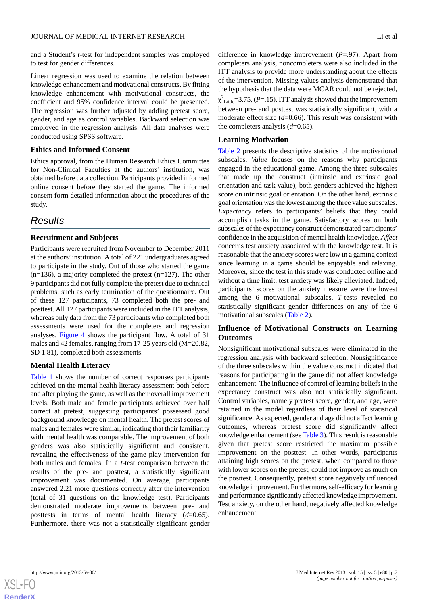and a Student's *t*-test for independent samples was employed to test for gender differences.

Linear regression was used to examine the relation between knowledge enhancement and motivational constructs. By fitting knowledge enhancement with motivational constructs, the coefficient and 95% confidence interval could be presented. The regression was further adjusted by adding pretest score, gender, and age as control variables. Backward selection was employed in the regression analysis. All data analyses were conducted using SPSS software.

#### **Ethics and Informed Consent**

Ethics approval, from the Human Research Ethics Committee for Non-Clinical Faculties at the authors' institution, was obtained before data collection. Participants provided informed online consent before they started the game. The informed consent form detailed information about the procedures of the study.

# *Results*

#### **Recruitment and Subjects**

Participants were recruited from November to December 2011 at the authors'institution. A total of 221 undergraduates agreed to participate in the study. Out of those who started the game  $(n=136)$ , a majority completed the pretest  $(n=127)$ . The other 9 participants did not fully complete the pretest due to technical problems, such as early termination of the questionnaire. Out of these 127 participants, 73 completed both the pre- and posttest. All 127 participants were included in the ITT analysis, whereas only data from the 73 participants who completed both assessments were used for the completers and regression analyses. Figure 4 shows the participant flow. A total of 31 males and 42 females, ranging from 17-25 years old (M=20.82, SD 1.81), completed both assessments.

### **Mental Health Literacy**

Table 1 shows the number of correct responses participants achieved on the mental health literacy assessment both before and after playing the game, as well as their overall improvement levels. Both male and female participants achieved over half correct at pretest, suggesting participants' possessed good background knowledge on mental health. The pretest scores of males and females were similar, indicating that their familiarity with mental health was comparable. The improvement of both genders was also statistically significant and consistent, revealing the effectiveness of the game play intervention for both males and females. In a *t*-test comparison between the results of the pre- and posttest, a statistically significant improvement was documented. On average, participants answered 2.21 more questions correctly after the intervention (total of 31 questions on the knowledge test). Participants demonstrated moderate improvements between pre- and posttests in terms of mental health literacy (*d*=0.65). Furthermore, there was not a statistically significant gender

difference in knowledge improvement (*P*=.97). Apart from completers analysis, noncompleters were also included in the ITT analysis to provide more understanding about the effects of the intervention. Missing values analysis demonstrated that the hypothesis that the data were MCAR could not be rejected,  $\chi^2$ <sub>Little</sub>=3.75, (*P*=.15). ITT analysis showed that the improvement between pre- and posttest was statistically significant, with a moderate effect size (*d*=0.66). This result was consistent with the completers analysis (*d*=0.65).

#### **Learning Motivation**

Table 2 presents the descriptive statistics of the motivational subscales. *Value* focuses on the reasons why participants engaged in the educational game. Among the three subscales that made up the construct (intrinsic and extrinsic goal orientation and task value), both genders achieved the highest score on intrinsic goal orientation. On the other hand, extrinsic goal orientation was the lowest among the three value subscales. *Expectancy* refers to participants' beliefs that they could accomplish tasks in the game. Satisfactory scores on both subscales of the expectancy construct demonstrated participants' confidence in the acquisition of mental health knowledge. *Affect* concerns test anxiety associated with the knowledge test. It is reasonable that the anxiety scores were low in a gaming context since learning in a game should be enjoyable and relaxing. Moreover, since the test in this study was conducted online and without a time limit, test anxiety was likely alleviated. Indeed, participants' scores on the anxiety measure were the lowest among the 6 motivational subscales. *T*-tests revealed no statistically significant gender differences on any of the 6 motivational subscales (Table 2).

### **Influence of Motivational Constructs on Learning Outcomes**

Nonsignificant motivational subscales were eliminated in the regression analysis with backward selection. Nonsignificance of the three subscales within the value construct indicated that reasons for participating in the game did not affect knowledge enhancement. The influence of control of learning beliefs in the expectancy construct was also not statistically significant. Control variables, namely pretest score, gender, and age, were retained in the model regardless of their level of statistical significance. As expected, gender and age did not affect learning outcomes, whereas pretest score did significantly affect knowledge enhancement (see Table 3). This result is reasonable given that pretest score restricted the maximum possible improvement on the posttest. In other words, participants attaining high scores on the pretest, when compared to those with lower scores on the pretest, could not improve as much on the posttest. Consequently, pretest score negatively influenced knowledge improvement. Furthermore, self-efficacy for learning and performance significantly affected knowledge improvement. Test anxiety, on the other hand, negatively affected knowledge enhancement.



**[RenderX](http://www.renderx.com/)**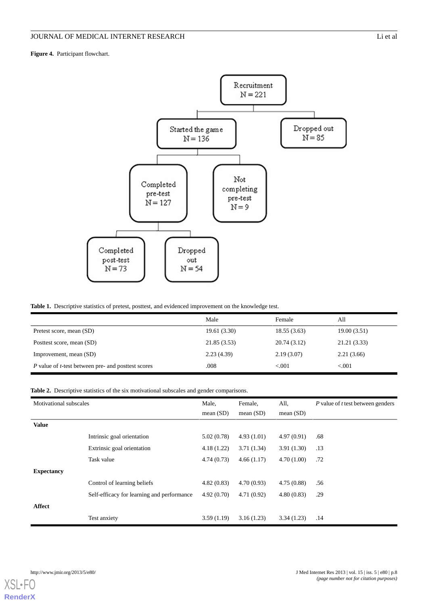**Figure 4.** Participant flowchart.



#### **Table 1.** Descriptive statistics of pretest, posttest, and evidenced improvement on the knowledge test.

|                                                                   | Male         | Female      | All          |
|-------------------------------------------------------------------|--------------|-------------|--------------|
| Pretest score, mean (SD)                                          | 19.61 (3.30) | 18.55(3.63) | 19.00(3.51)  |
| Posttest score, mean (SD)                                         | 21.85(3.53)  | 20.74(3.12) | 21.21 (3.33) |
| Improvement, mean (SD)                                            | 2.23(4.39)   | 2.19(3.07)  | 2.21(3.66)   |
| <i>P</i> value of <i>t</i> -test between pre- and posttest scores | .008         | < 0.001     | ${<}001$     |

#### **Table 2.** Descriptive statistics of the six motivational subscales and gender comparisons.

| Motivational subscales |                                            | Male,<br>mean $(SD)$ | Female,<br>mean $(SD)$ | All,<br>mean $(SD)$ | P value of t test between genders |
|------------------------|--------------------------------------------|----------------------|------------------------|---------------------|-----------------------------------|
| <b>Value</b>           |                                            |                      |                        |                     |                                   |
|                        | Intrinsic goal orientation                 | 5.02(0.78)           | 4.93(1.01)             | 4.97(0.91)          | .68                               |
|                        | Extrinsic goal orientation                 | 4.18(1.22)           | 3.71(1.34)             | 3.91(1.30)          | .13                               |
|                        | Task value                                 | 4.74(0.73)           | 4.66(1.17)             | 4.70(1.00)          | .72                               |
| <b>Expectancy</b>      |                                            |                      |                        |                     |                                   |
|                        | Control of learning beliefs                | 4.82(0.83)           | 4.70(0.93)             | 4.75(0.88)          | .56                               |
|                        | Self-efficacy for learning and performance | 4.92(0.70)           | 4.71(0.92)             | 4.80(0.83)          | .29                               |
| Affect                 |                                            |                      |                        |                     |                                   |
|                        | Test anxiety                               | 3.59(1.19)           | 3.16(1.23)             | 3.34(1.23)          | .14                               |

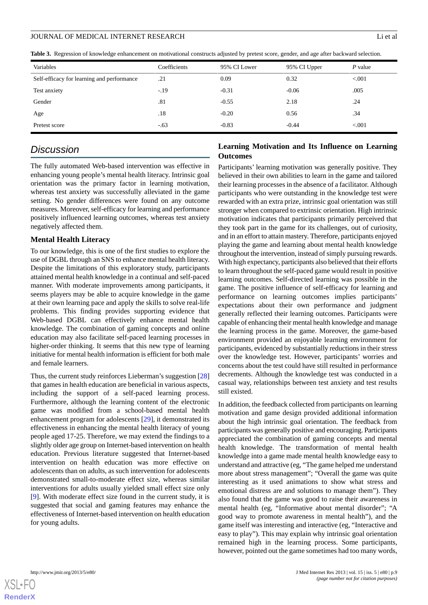**Table 3.** Regression of knowledge enhancement on motivational constructs adjusted by pretest score, gender, and age after backward selection.

| Variables                                  | Coefficients | 95% CI Lower | 95% CI Upper | P value |
|--------------------------------------------|--------------|--------------|--------------|---------|
| Self-efficacy for learning and performance | .21          | 0.09         | 0.32         | < 0.001 |
| Test anxiety                               | $-.19$       | $-0.31$      | $-0.06$      | .005    |
| Gender                                     | .81          | $-0.55$      | 2.18         | .24     |
| Age                                        | .18          | $-0.20$      | 0.56         | .34     |
| Pretest score                              | $-.63$       | $-0.83$      | $-0.44$      | < 0.001 |

# *Discussion*

The fully automated Web-based intervention was effective in enhancing young people's mental health literacy. Intrinsic goal orientation was the primary factor in learning motivation, whereas test anxiety was successfully alleviated in the game setting. No gender differences were found on any outcome measures. Moreover, self-efficacy for learning and performance positively influenced learning outcomes, whereas test anxiety negatively affected them.

#### **Mental Health Literacy**

To our knowledge, this is one of the first studies to explore the use of DGBL through an SNS to enhance mental health literacy. Despite the limitations of this exploratory study, participants attained mental health knowledge in a continual and self-paced manner. With moderate improvements among participants, it seems players may be able to acquire knowledge in the game at their own learning pace and apply the skills to solve real-life problems. This finding provides supporting evidence that Web-based DGBL can effectively enhance mental health knowledge. The combination of gaming concepts and online education may also facilitate self-paced learning processes in higher-order thinking. It seems that this new type of learning initiative for mental health information is efficient for both male and female learners.

Thus, the current study reinforces Lieberman's suggestion [\[28](#page-10-15)] that games in health education are beneficial in various aspects, including the support of a self-paced learning process. Furthermore, although the learning content of the electronic game was modified from a school-based mental health enhancement program for adolescents [[29\]](#page-10-16), it demonstrated its effectiveness in enhancing the mental health literacy of young people aged 17-25. Therefore, we may extend the findings to a slightly older age group on Internet-based intervention on health education. Previous literature suggested that Internet-based intervention on health education was more effective on adolescents than on adults, as such intervention for adolescents demonstrated small-to-moderate effect size, whereas similar interventions for adults usually yielded small effect size only [[9\]](#page-10-2). With moderate effect size found in the current study, it is suggested that social and gaming features may enhance the effectiveness of Internet-based intervention on health education for young adults.

#### **Learning Motivation and Its Influence on Learning Outcomes**

Participants' learning motivation was generally positive. They believed in their own abilities to learn in the game and tailored their learning processes in the absence of a facilitator. Although participants who were outstanding in the knowledge test were rewarded with an extra prize, intrinsic goal orientation was still stronger when compared to extrinsic orientation. High intrinsic motivation indicates that participants primarily perceived that they took part in the game for its challenges, out of curiosity, and in an effort to attain mastery. Therefore, participants enjoyed playing the game and learning about mental health knowledge throughout the intervention, instead of simply pursuing rewards. With high expectancy, participants also believed that their efforts to learn throughout the self-paced game would result in positive learning outcomes. Self-directed learning was possible in the game. The positive influence of self-efficacy for learning and performance on learning outcomes implies participants' expectations about their own performance and judgment generally reflected their learning outcomes. Participants were capable of enhancing their mental health knowledge and manage the learning process in the game. Moreover, the game-based environment provided an enjoyable learning environment for participants, evidenced by substantially reductions in their stress over the knowledge test. However, participants' worries and concerns about the test could have still resulted in performance decrements. Although the knowledge test was conducted in a casual way, relationships between test anxiety and test results still existed.

In addition, the feedback collected from participants on learning motivation and game design provided additional information about the high intrinsic goal orientation. The feedback from participants was generally positive and encouraging. Participants appreciated the combination of gaming concepts and mental health knowledge. The transformation of mental health knowledge into a game made mental health knowledge easy to understand and attractive (eg, "The game helped me understand more about stress management"; "Overall the game was quite interesting as it used animations to show what stress and emotional distress are and solutions to manage them"). They also found that the game was good to raise their awareness in mental health (eg, "Informative about mental disorder"; "A good way to promote awareness in mental health"), and the game itself was interesting and interactive (eg, "Interactive and easy to play"). This may explain why intrinsic goal orientation remained high in the learning process. Some participants, however, pointed out the game sometimes had too many words,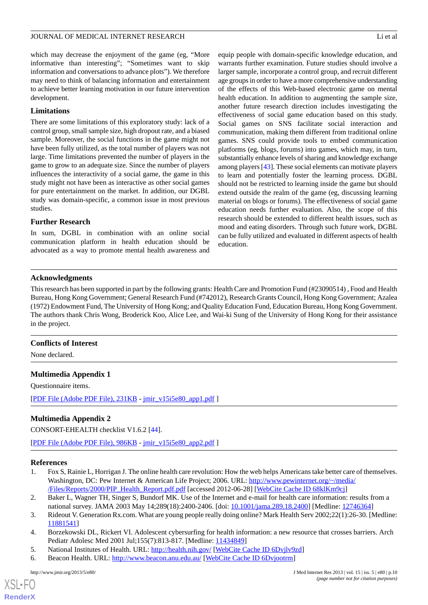which may decrease the enjoyment of the game (eg, "More informative than interesting"; "Sometimes want to skip information and conversations to advance plots"). We therefore may need to think of balancing information and entertainment to achieve better learning motivation in our future intervention development.

#### **Limitations**

There are some limitations of this exploratory study: lack of a control group, small sample size, high dropout rate, and a biased sample. Moreover, the social functions in the game might not have been fully utilized, as the total number of players was not large. Time limitations prevented the number of players in the game to grow to an adequate size. Since the number of players influences the interactivity of a social game, the game in this study might not have been as interactive as other social games for pure entertainment on the market. In addition, our DGBL study was domain-specific, a common issue in most previous studies.

#### **Further Research**

In sum, DGBL in combination with an online social communication platform in health education should be advocated as a way to promote mental health awareness and equip people with domain-specific knowledge education, and warrants further examination. Future studies should involve a larger sample, incorporate a control group, and recruit different age groups in order to have a more comprehensive understanding of the effects of this Web-based electronic game on mental health education. In addition to augmenting the sample size, another future research direction includes investigating the effectiveness of social game education based on this study. Social games on SNS facilitate social interaction and communication, making them different from traditional online games. SNS could provide tools to embed communication platforms (eg, blogs, forums) into games, which may, in turn, substantially enhance levels of sharing and knowledge exchange among players [\[43](#page-11-10)]. These social elements can motivate players to learn and potentially foster the learning process. DGBL should not be restricted to learning inside the game but should extend outside the realm of the game (eg, discussing learning material on blogs or forums). The effectiveness of social game education needs further evaluation. Also, the scope of this research should be extended to different health issues, such as mood and eating disorders. Through such future work, DGBL can be fully utilized and evaluated in different aspects of health education.

#### **Acknowledgments**

This research has been supported in part by the following grants: Health Care and Promotion Fund (#23090514) , Food and Health Bureau, Hong Kong Government; General Research Fund (#742012), Research Grants Council, Hong Kong Government; Azalea (1972) Endowment Fund, The University of Hong Kong; and Quality Education Fund, Education Bureau, Hong Kong Government. The authors thank Chris Wong, Broderick Koo, Alice Lee, and Wai-ki Sung of the University of Hong Kong for their assistance in the project.

#### **Conflicts of Interest**

None declared.

#### **Multimedia Appendix 1**

Questionnaire items.

[[PDF File \(Adobe PDF File\), 231KB](http://www.jmir.org/article/downloadSuppFile/2316/7709) - [jmir\\_v15i5e80\\_app1.pdf](http://www.jmir.org/article/downloadSuppFile/2316/7709) ]

# **Multimedia Appendix 2**

<span id="page-9-0"></span>CONSORT-EHEALTH checklist V1.6.2 [[44\]](#page-11-11).

<span id="page-9-1"></span>[[PDF File \(Adobe PDF File\), 986KB](http://www.jmir.org/article/downloadSuppFile/2316/7019) - [jmir\\_v15i5e80\\_app2.pdf](http://www.jmir.org/article/downloadSuppFile/2316/7019) ]

#### <span id="page-9-2"></span>**References**

- <span id="page-9-3"></span>1. Fox S, Rainie L, Horrigan J. The online health care revolution: How the web helps Americans take better care of themselves. Washington, DC: Pew Internet & American Life Project; 2006. URL: [http://www.pewinternet.org/~/media/](http://www.pewinternet.org/~/media//Files/Reports/2000/PIP_Health_Report.pdf.pdf) [/Files/Reports/2000/PIP\\_Health\\_Report.pdf.pdf](http://www.pewinternet.org/~/media//Files/Reports/2000/PIP_Health_Report.pdf.pdf) [accessed 2012-06-28] [\[WebCite Cache ID 68klKm9cj](http://www.webcitation.org/68klKm9cj)]
- <span id="page-9-4"></span>2. Baker L, Wagner TH, Singer S, Bundorf MK. Use of the Internet and e-mail for health care information: results from a national survey. JAMA 2003 May 14;289(18):2400-2406. [doi: [10.1001/jama.289.18.2400\]](http://dx.doi.org/10.1001/jama.289.18.2400) [Medline: [12746364](http://www.ncbi.nlm.nih.gov/entrez/query.fcgi?cmd=Retrieve&db=PubMed&list_uids=12746364&dopt=Abstract)]
- 3. Rideout V. Generation Rx.com. What are young people really doing online? Mark Health Serv 2002;22(1):26-30. [Medline: [11881541](http://www.ncbi.nlm.nih.gov/entrez/query.fcgi?cmd=Retrieve&db=PubMed&list_uids=11881541&dopt=Abstract)]
- 4. Borzekowski DL, Rickert VI. Adolescent cybersurfing for health information: a new resource that crosses barriers. Arch Pediatr Adolesc Med 2001 Jul;155(7):813-817. [Medline: [11434849](http://www.ncbi.nlm.nih.gov/entrez/query.fcgi?cmd=Retrieve&db=PubMed&list_uids=11434849&dopt=Abstract)]
- 5. National Institutes of Health. URL:<http://health.nih.gov/> [[WebCite Cache ID 6Dvjlv9zd\]](http://www.webcitation.org/6Dvjlv9zd)
- 6. Beacon Health. URL: <http://www.beacon.anu.edu.au/> [\[WebCite Cache ID 6Dvjootrm\]](http://www.webcitation.org/6Dvjootrm)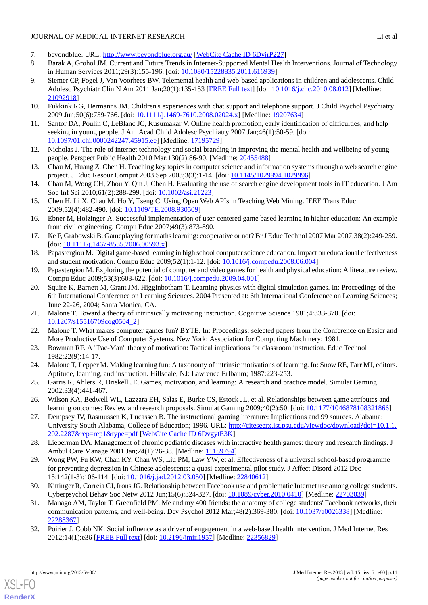- <span id="page-10-1"></span><span id="page-10-0"></span>7. beyondblue. URL:<http://www.beyondblue.org.au/> [\[WebCite Cache ID 6DvjrP227](http://www.webcitation.org/6DvjrP227)]
- 8. Barak A, Grohol JM. Current and Future Trends in Internet-Supported Mental Health Interventions. Journal of Technology in Human Services 2011;29(3):155-196. [doi: [10.1080/15228835.2011.616939](http://dx.doi.org/10.1080/15228835.2011.616939)]
- <span id="page-10-2"></span>9. Siemer CP, Fogel J, Van Voorhees BW. Telemental health and web-based applications in children and adolescents. Child Adolesc Psychiatr Clin N Am 2011 Jan;20(1):135-153 [[FREE Full text](http://europepmc.org/abstract/MED/21092918)] [doi: [10.1016/j.chc.2010.08.012](http://dx.doi.org/10.1016/j.chc.2010.08.012)] [Medline: [21092918](http://www.ncbi.nlm.nih.gov/entrez/query.fcgi?cmd=Retrieve&db=PubMed&list_uids=21092918&dopt=Abstract)]
- <span id="page-10-3"></span>10. Fukkink RG, Hermanns JM. Children's experiences with chat support and telephone support. J Child Psychol Psychiatry 2009 Jun;50(6):759-766. [doi: [10.1111/j.1469-7610.2008.02024.x](http://dx.doi.org/10.1111/j.1469-7610.2008.02024.x)] [Medline: [19207634](http://www.ncbi.nlm.nih.gov/entrez/query.fcgi?cmd=Retrieve&db=PubMed&list_uids=19207634&dopt=Abstract)]
- <span id="page-10-4"></span>11. Santor DA, Poulin C, LeBlanc JC, Kusumakar V. Online health promotion, early identification of difficulties, and help seeking in young people. J Am Acad Child Adolesc Psychiatry 2007 Jan;46(1):50-59. [doi: [10.1097/01.chi.0000242247.45915.ee\]](http://dx.doi.org/10.1097/01.chi.0000242247.45915.ee) [Medline: [17195729\]](http://www.ncbi.nlm.nih.gov/entrez/query.fcgi?cmd=Retrieve&db=PubMed&list_uids=17195729&dopt=Abstract)
- <span id="page-10-5"></span>12. Nicholas J. The role of internet technology and social branding in improving the mental health and wellbeing of young people. Perspect Public Health 2010 Mar;130(2):86-90. [Medline: [20455488](http://www.ncbi.nlm.nih.gov/entrez/query.fcgi?cmd=Retrieve&db=PubMed&list_uids=20455488&dopt=Abstract)]
- 13. Chau M, Huang Z, Chen H. Teaching key topics in computer science and information systems through a web search engine project. J Educ Resour Comput 2003 Sep 2003;3(3):1-14. [doi: [10.1145/1029994.1029996](http://dx.doi.org/10.1145/1029994.1029996)]
- <span id="page-10-6"></span>14. Chau M, Wong CH, Zhou Y, Qin J, Chen H. Evaluating the use of search engine development tools in IT education. J Am Soc Inf Sci 2010;61(2):288-299. [doi: [10.1002/asi.21223](http://dx.doi.org/10.1002/asi.21223)]
- <span id="page-10-7"></span>15. Chen H, Li X, Chau M, Ho Y, Tseng C. Using Open Web APIs in Teaching Web Mining. IEEE Trans Educ 2009;52(4):482-490. [doi: [10.1109/TE.2008.930509\]](http://dx.doi.org/10.1109/TE.2008.930509)
- 16. Ebner M, Holzinger A. Successful implementation of user-centered game based learning in higher education: An example from civil engineering. Compu Educ 2007;49(3):873-890.
- <span id="page-10-13"></span>17. Ke F, Grabowski B. Gameplaying for maths learning: cooperative or not? Br J Educ Technol 2007 Mar 2007;38(2):249-259. [doi: [10.1111/j.1467-8535.2006.00593.x](http://dx.doi.org/10.1111/j.1467-8535.2006.00593.x)]
- <span id="page-10-8"></span>18. Papastergiou M. Digital game-based learning in high school computer science education: Impact on educational effectiveness and student motivation. Compu Educ 2009;52(1):1-12. [doi: [10.1016/j.compedu.2008.06.004](http://dx.doi.org/10.1016/j.compedu.2008.06.004)]
- 19. Papastergiou M. Exploring the potential of computer and video games for health and physical education: A literature review. Compu Educ 2009;53(3):603-622. [doi: [10.1016/j.compedu.2009.04.001](http://dx.doi.org/10.1016/j.compedu.2009.04.001)]
- <span id="page-10-9"></span>20. Squire K, Barnett M, Grant JM, Higginbotham T. Learning physics with digital simulation games. In: Proceedings of the 6th International Conference on Learning Sciences. 2004 Presented at: 6th International Conference on Learning Sciences; June 22-26, 2004; Santa Monica, CA.
- 21. Malone T. Toward a theory of intrinsically motivating instruction. Cognitive Science 1981;4:333-370. [doi: [10.1207/s15516709cog0504\\_2](http://dx.doi.org/10.1207/s15516709cog0504_2)]
- <span id="page-10-10"></span>22. Malone T. What makes computer games fun? BYTE. In: Proceedings: selected papers from the Conference on Easier and More Productive Use of Computer Systems. New York: Association for Computing Machinery; 1981.
- <span id="page-10-11"></span>23. Bowman RF. A "Pac-Man" theory of motivation: Tactical implications for classroom instruction. Educ Technol 1982;22(9):14-17.
- <span id="page-10-12"></span>24. Malone T, Lepper M. Making learning fun: A taxonomy of intrinsic motivations of learning. In: Snow RE, Farr MJ, editors. Aptitude, learning, and instruction. Hillsdale, NJ: Lawrence Erlbaum; 1987:223-253.
- <span id="page-10-14"></span>25. Garris R, Ahlers R, Driskell JE. Games, motivation, and learning: A research and practice model. Simulat Gaming 2002;33(4):441-467.
- <span id="page-10-15"></span>26. Wilson KA, Bedwell WL, Lazzara EH, Salas E, Burke CS, Estock JL, et al. Relationships between game attributes and learning outcomes: Review and research proposals. Simulat Gaming 2009;40(2):50. [doi: [10.1177/1046878108321866](http://dx.doi.org/10.1177/1046878108321866)]
- <span id="page-10-16"></span>27. Dempsey JV, Rasmussen K, Lucassen B. The instructional gaming literature: Implications and 99 sources. Alabama: University South Alabama, College of Education; 1996. URL: [http://citeseerx.ist.psu.edu/viewdoc/download?doi=10.1.1.](http://citeseerx.ist.psu.edu/viewdoc/download?doi=10.1.1.202.2287&rep=rep1&type=pdf) [202.2287&rep=rep1&type=pdf](http://citeseerx.ist.psu.edu/viewdoc/download?doi=10.1.1.202.2287&rep=rep1&type=pdf) [[WebCite Cache ID 6DvgytE3K\]](http://www.webcitation.org/6DvgytE3K)
- <span id="page-10-17"></span>28. Lieberman DA. Management of chronic pediatric diseases with interactive health games: theory and research findings. J Ambul Care Manage 2001 Jan; 24(1): 26-38. [Medline: [11189794](http://www.ncbi.nlm.nih.gov/entrez/query.fcgi?cmd=Retrieve&db=PubMed&list_uids=11189794&dopt=Abstract)]
- <span id="page-10-18"></span>29. Wong PW, Fu KW, Chan KY, Chan WS, Liu PM, Law YW, et al. Effectiveness of a universal school-based programme for preventing depression in Chinese adolescents: a quasi-experimental pilot study. J Affect Disord 2012 Dec 15;142(1-3):106-114. [doi: [10.1016/j.jad.2012.03.050](http://dx.doi.org/10.1016/j.jad.2012.03.050)] [Medline: [22840612\]](http://www.ncbi.nlm.nih.gov/entrez/query.fcgi?cmd=Retrieve&db=PubMed&list_uids=22840612&dopt=Abstract)
- <span id="page-10-19"></span>30. Kittinger R, Correia CJ, Irons JG. Relationship between Facebook use and problematic Internet use among college students. Cyberpsychol Behav Soc Netw 2012 Jun;15(6):324-327. [doi: [10.1089/cyber.2010.0410](http://dx.doi.org/10.1089/cyber.2010.0410)] [Medline: [22703039\]](http://www.ncbi.nlm.nih.gov/entrez/query.fcgi?cmd=Retrieve&db=PubMed&list_uids=22703039&dopt=Abstract)
- 31. Manago AM, Taylor T, Greenfield PM. Me and my 400 friends: the anatomy of college students' Facebook networks, their communication patterns, and well-being. Dev Psychol 2012 Mar;48(2):369-380. [doi: [10.1037/a0026338](http://dx.doi.org/10.1037/a0026338)] [Medline: [22288367](http://www.ncbi.nlm.nih.gov/entrez/query.fcgi?cmd=Retrieve&db=PubMed&list_uids=22288367&dopt=Abstract)]
- 32. Poirier J, Cobb NK. Social influence as a driver of engagement in a web-based health intervention. J Med Internet Res 2012;14(1):e36 [\[FREE Full text](http://www.jmir.org/2012/1/e36/)] [doi: [10.2196/jmir.1957\]](http://dx.doi.org/10.2196/jmir.1957) [Medline: [22356829](http://www.ncbi.nlm.nih.gov/entrez/query.fcgi?cmd=Retrieve&db=PubMed&list_uids=22356829&dopt=Abstract)]